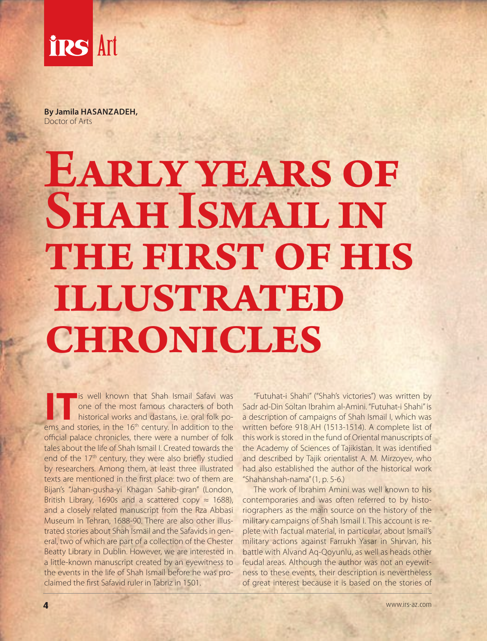

**By Jamila HASANZADEH,** Doctor of Arts

## EARLY YEARS OF SHAH ISMAIL IN THE FIRST OF HIS illustrated **CHRONICLES**

**IT** is well known that Shah Ismail Safavi was<br>
one of the most famous characters of both<br>
historical works and dastans, i.e. oral folk po-<br>
one and stories in the 16<sup>th</sup> century. In addition to the one of the most famous characters of both ems and stories, in the 16<sup>th</sup> century. In addition to the official palace chronicles, there were a number of folk tales about the life of Shah Ismail I. Created towards the end of the 17<sup>th</sup> century, they were also briefly studied by researchers. Among them, at least three illustrated texts are mentioned in the first place: two of them are Bijan's "Jahan-gusha-yi Khagan Sahib-giran" (London, British Library, 1690s and a scattered copy  $\approx$  1688), and a closely related manuscript from the Rza Abbasi Museum in Tehran, 1688-90. There are also other illustrated stories about Shah Ismail and the Safavids in general, two of which are part of a collection of the Chester Beatty Library in Dublin. However, we are interested in a little-known manuscript created by an eyewitness to the events in the life of Shah Ismail before he was proclaimed the first Safavid ruler in Tabriz in 1501.

"Futuhat-i Shahi" ("Shah's victories") was written by Sadr ad-Din Soltan Ibrahim al-Amini. "Futuhat-i Shahi" is a description of campaigns of Shah Ismail I, which was written before 918 AH (1513-1514). A complete list of this work is stored in the fund of Oriental manuscripts of the Academy of Sciences of Tajikistan. It was identified and described by Tajik orientalist A. M. Mirzoyev, who had also established the author of the historical work "Shahanshah-nama" (1, p. 5-6.)

The work of Ibrahim Amini was well known to his contemporaries and was often referred to by historiographers as the main source on the history of the military campaigns of Shah Ismail I. This account is replete with factual material, in particular, about Ismail's military actions against Farrukh Yasar in Shirvan, his battle with Alvand Aq-Qoyunlu, as well as heads other feudal areas. Although the author was not an eyewitness to these events, their description is nevertheless of great interest because it is based on the stories of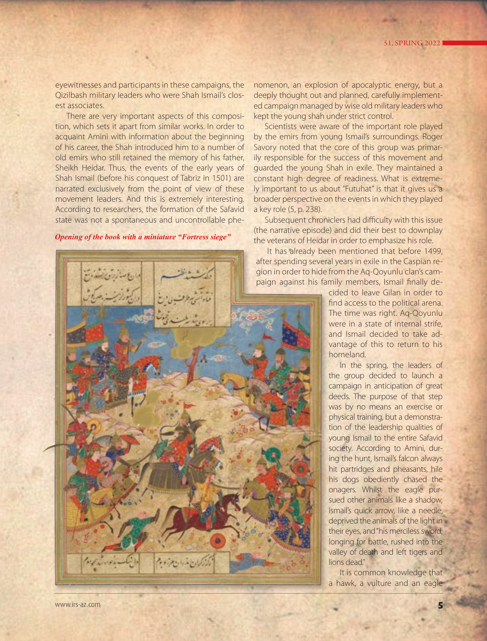eyewitnesses and participants in these campaigns, the Qizilbash military leaders who were Shah Ismail's closest associates.

There are very important aspects of this composition, which sets it apart from similar works. In order to acquaint Amini with information about the beginning of his career, the Shah introduced him to a number of old emirs who still retained the memory of his father, Sheikh Heidar. Thus, the events of the early years of Shah Ismail (before his conquest of Tabriz in 1501) are narrated exclusively from the point of view of these movement leaders. And this is extremely interesting. According to researchers, the formation of the Safavid state was not a spontaneous and uncontrollable phe-

## *Opening of the book with a miniature "Fortress siege"*

nomenon, an explosion of apocalyptic energy, but a deeply thought out and planned, carefully implemented campaign managed by wise old military leaders who kept the young shah under strict control.

Scientists were aware of the important role played by the emirs from young Ismail's surroundings. Roger Savory noted that the core of this group was primarily responsible for the success of this movement and guarded the young Shah in exile. They maintained a constant high degree of readiness. What is extremely important to us about "Futuhat" is that it gives us a broader perspective on the events in which they played a key role (5, p. 238).

Subsequent chroniclers had difficulty with this issue (the narrative episode) and did their best to downplay the veterans of Heidar in order to emphasize his role.

It has already been mentioned that before 1499, after spending several years in exile in the Caspian region in order to hide from the Aq-Qoyunlu clan's campaign against his family members, Ismail finally de-

> cided to leave Gilan in order to find access to the political arena. The time was right. Aq-Qoyunlu were in a state of internal strife, and Ismail decided to take advantage of this to return to his homeland.

In the spring, the leaders of the group decided to launch a campaign in anticipation of great deeds. The purpose of that step was by no means an exercise or physical training, but a demonstration of the leadership qualities of young Ismail to the entire Safavid society. According to Amini, during the hunt, Ismail's falcon always hit partridges and pheasants, hile his dogs obediently chased the onagers. Whilst the eagle pursued other animals like a shadow, Ismail's quick arrow, like a needle, deprived the animals of the light in their eyes, and "his merciless sword, longing for battle, rushed into the valley of death and left tigers and lions dead."

It is common knowledge that a hawk, a vulture and an eagle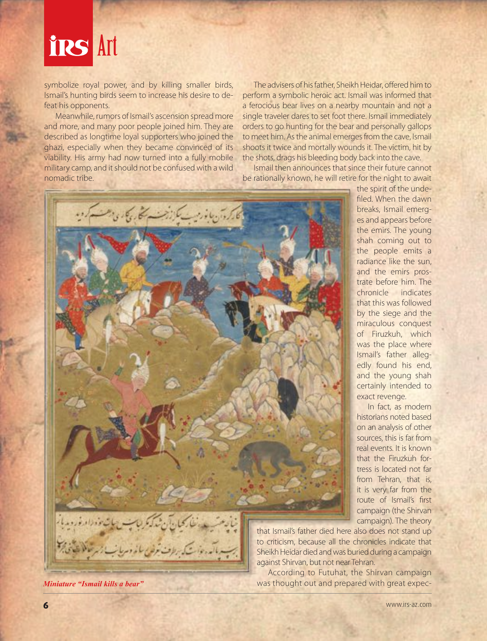

symbolize royal power, and by killing smaller birds, Ismail's hunting birds seem to increase his desire to defeat his opponents.

Meanwhile, rumors of Ismail's ascension spread more and more, and many poor people joined him. They are described as longtime loyal supporters who joined the ghazi, especially when they became convinced of its viability. His army had now turned into a fully mobile military camp, and it should not be confused with a wild nomadic tribe.

The advisers of his father, Sheikh Heidar, offered him to perform a symbolic heroic act. Ismail was informed that a ferocious bear lives on a nearby mountain and not a single traveler dares to set foot there. Ismail immediately orders to go hunting for the bear and personally gallops to meet him. As the animal emerges from the cave, Ismail shoots it twice and mortally wounds it. The victim, hit by the shots, drags his bleeding body back into the cave.

Ismail then announces that since their future cannot be rationally known, he will retire for the night to await

> the spirit of the undefiled. When the dawn breaks, Ismail emerges and appears before the emirs. The young shah coming out to the people emits a radiance like the sun, and the emirs prostrate before him. The chronicle indicates that this was followed by the siege and the miraculous conquest of Firuzkuh, which was the place where Ismail's father allegedly found his end, and the young shah certainly intended to

exact revenge.

In fact, as modern historians noted based on an analysis of other sources, this is far from real events. It is known that the Firuzkuh fortress is located not far from Tehran, that is, it is very far from the route of Ismail's first campaign (the Shirvan campaign). The theory



that Ismail's father died here also does not stand up to criticism, because all the chronicles indicate that Sheikh Heidar died and was buried during a campaign against Shirvan, but not near Tehran.

According to Futuhat, the Shirvan campaign *Miniature "Ismail kills a bear"* was thought out and prepared with great expec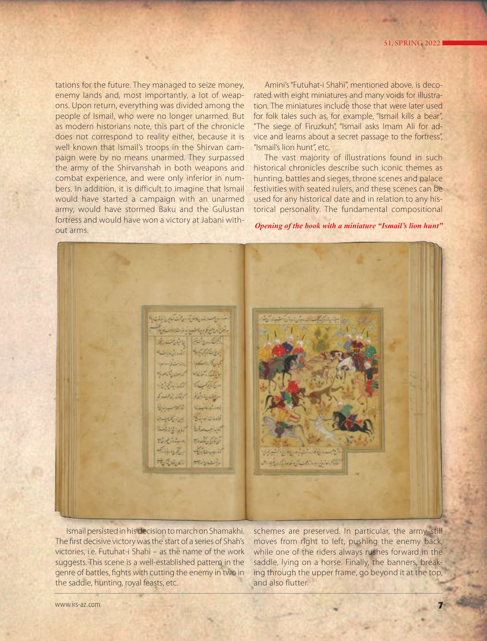tations for the future. They managed to seize money, enemy lands and, most importantly, a lot of weapons. Upon return, everything was divided among the people of Ismail, who were no longer unarmed. But as modern historians note, this part of the chronicle does not correspond to reality either, because it is well known that Ismail's troops in the Shirvan campaign were by no means unarmed. They surpassed the army of the Shirvanshah in both weapons and combat experience, and were only inferior in numbers. In addition, it is difficult to imagine that Ismail would have started a campaign with an unarmed army, would have stormed Baku and the Gulustan fortress and would have won a victory at Jabani without arms.

Amini's "Futuhat-i Shahi", mentioned above, is decorated with eight miniatures and many voids for illustration. The miniatures include those that were later used for folk tales such as, for example, "Ismail kills a bear", "The siege of Firuzkuh", "Ismail asks Imam Ali for advice and learns about a secret passage to the fortress", "Ismail's lion hunt", etc.

The vast majority of illustrations found in such historical chronicles describe such iconic themes as hunting, battles and sieges, throne scenes and palace festivities with seated rulers, and these scenes can be used for any historical date and in relation to any historical personality. The fundamental compositional

*Opening of the book with a miniature "Ismail's lion hunt"*

ويعتدل فالمنافس والمسترافية Simplify for the فالمنستنت التكسية والتعاد أنقدم نارت September **ANTICKETTE** Saturday Board  $100 - 100$ Victor Clin **Believille 1** The States Barbara Barbara  $55 - 43$ Kennedyk فتتشاهدها Blanchill **CONTROLLED**  $7.4666$ Textina Finally E. Pertament Tologic Stiger

Ismail persisted in his decision to march on Shamakhi. The first decisive victory was the start of a series of Shah's victories, i.e. Futuhat-i Shahi – as the name of the work suggests. This scene is a well-established pattern in the genre of battles, fights with cutting the enemy in two in the saddle, hunting, royal feasts, etc.

schemes are preserved. In particular, the army still moves from right to left, pushing the enemy back, while one of the riders always rushes forward in the saddle, lying on a horse. Finally, the banners, breaking through the upper frame, go beyond it at the top, and also flutter.

www.irs-az.com **7**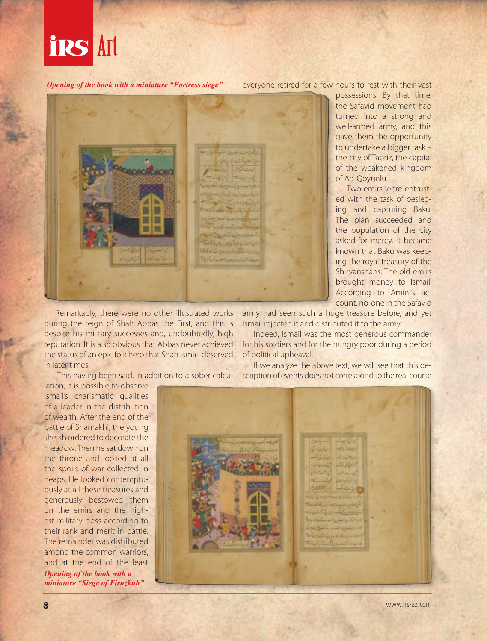

*Opening of the book with a miniature "Fortress siege"*

everyone retired for a few hours to rest with their vast



Remarkably, there were no other illustrated works during the reign of Shah Abbas the First, and this is despite his military successes and, undoubtedly, high reputation. It is also obvious that Abbas never achieved the status of an epic folk hero that Shah Ismail deserved in later times.

This having been said, in addition to a sober calcu-

lation, it is possible to observe Ismail's charismatic qualities of a leader in the distribution of wealth. After the end of the battle of Shamakhi, the young sheikh ordered to decorate the meadow. Then he sat down on the throne and looked at all the spoils of war collected in heaps. He looked contemptuously at all these treasures and generously bestowed them on the emirs and the highest military class according to their rank and merit in battle. The remainder was distributed among the common warriors, and at the end of the feast *Opening of the book with a miniature "Siege of Firuzkuh"*

army had seen such a huge treasure before, and yet Ismail rejected it and distributed it to the army.

Indeed, Ismail was the most generous commander for his soldiers and for the hungry poor during a period of political upheaval.

If we analyze the above text, we will see that this description of events does not correspond to the real course



to undertake a bigger task – the city of Tabriz, the capital of the weakened kingdom of Aq-Qoyunlu. Two emirs were entrusted with the task of besieging and capturing Baku.

The plan succeeded and the population of the city asked for mercy. It became known that Baku was keeping the royal treasury of the Shirvanshahs. The old emirs brought money to Ismail. According to Amini's account, no-one in the Safavid

possessions. By that time, the Safavid movement had turned into a strong and well-armed army, and this gave them the opportunity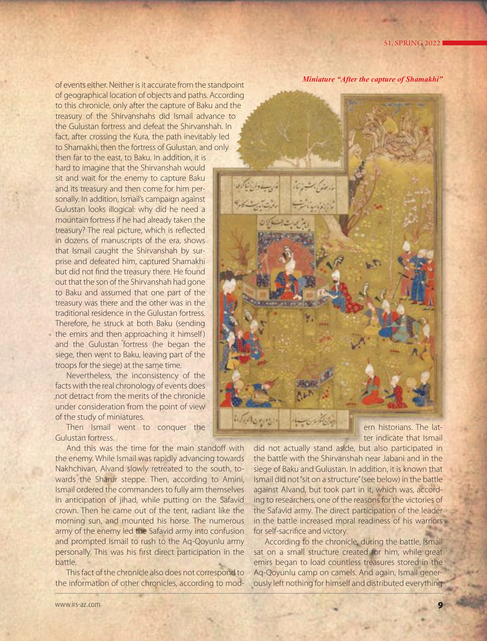of events either. Neither is it accurate from the standpoint of geographical location of objects and paths. According to this chronicle, only after the capture of Baku and the treasury of the Shirvanshahs did Ismail advance to the Gulustan fortress and defeat the Shirvanshah. In fact, after crossing the Kura, the path inevitably led to Shamakhi, then the fortress of Gulustan, and only then far to the east, to Baku. In addition, it is

hard to imagine that the Shirvanshah would sit and wait for the enemy to capture Baku and its treasury and then come for him personally. In addition, Ismail's campaign against Gulustan looks illogical: why did he need a mountain fortress if he had already taken the treasury? The real picture, which is reflected in dozens of manuscripts of the era, shows that Ismail caught the Shirvanshah by surprise and defeated him, captured Shamakhi but did not find the treasury there. He found out that the son of the Shirvanshah had gone to Baku and assumed that one part of the treasury was there and the other was in the traditional residence in the Gulustan fortress. Therefore, he struck at both Baku (sending the emirs and then approaching it himself) and the Gulustan fortress (he began the siege, then went to Baku, leaving part of the troops for the siege) at the same time.

Nevertheless, the inconsistency of the facts with the real chronology of events does not detract from the merits of the chronicle under consideration from the point of view of the study of miniatures.

Then Ismail went to conquer the Gulustan fortress.

And this was the time for the main standoff with the enemy. While Ismail was rapidly advancing towards Nakhchivan, Alvand slowly retreated to the south, towards the Sharur steppe. Then, according to Amini, Ismail ordered the commanders to fully arm themselves in anticipation of jihad, while putting on the Safavid crown. Then he came out of the tent, radiant like the morning sun, and mounted his horse. The numerous army of the enemy led the Safavid army into confusion and prompted Ismail to rush to the Aq-Qoyunlu army personally. This was his first direct participation in the battle.

This fact of the chronicle also does not correspond to the information of other chronicles, according to mod*Miniature "After the capture of Shamakhi"* 



ter indicate that Ismail

did not actually stand aside, but also participated in the battle with the Shirvanshah near Jabani and in the siege of Baku and Gulustan. In addition, it is known that Ismail did not "sit on a structure" (see below) in the battle against Alvand, but took part in it, which was, according to researchers, one of the reasons for the victories of the Safavid army. The direct participation of the leader in the battle increased moral readiness of his warriors for self-sacrifice and victory.

According to the chronicle, during the battle, Ismail sat on a small structure created for him, while great emirs began to load countless treasures stored in the Aq-Qoyunlu camp on camels. And again, Ismail generously left nothing for himself and distributed everything